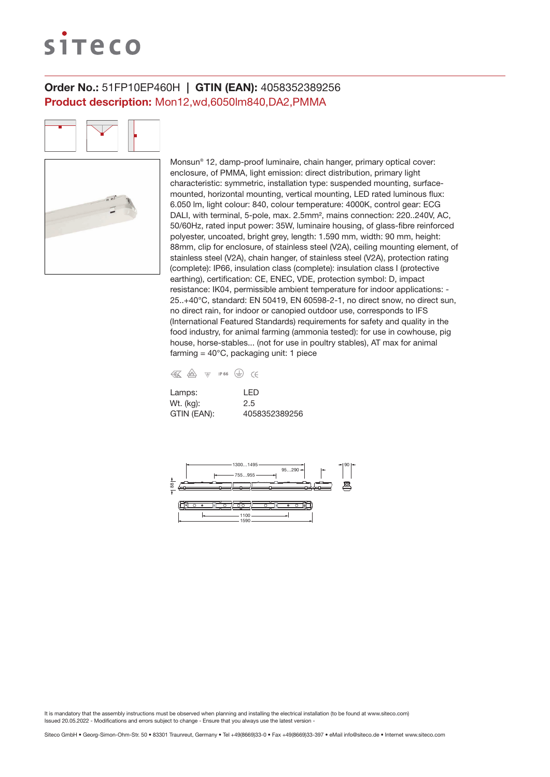# siteco

# Order No.: 51FP10EP460H | GTIN (EAN): 4058352389256 Product description: Mon12,wd,6050lm840,DA2,PMMA

Monsun® 12, damp-proof luminaire, chain hanger, primary optical cover: enclosure, of PMMA, light emission: direct distribution, primary light characteristic: symmetric, installation type: suspended mounting, surfacemounted, horizontal mounting, vertical mounting, LED rated luminous flux: 6.050 lm, light colour: 840, colour temperature: 4000K, control gear: ECG DALI, with terminal, 5-pole, max. 2.5mm², mains connection: 220..240V, AC, 50/60Hz, rated input power: 35W, luminaire housing, of glass-fibre reinforced polyester, uncoated, bright grey, length: 1.590 mm, width: 90 mm, height: 88mm, clip for enclosure, of stainless steel (V2A), ceiling mounting element, of stainless steel (V2A), chain hanger, of stainless steel (V2A), protection rating (complete): IP66, insulation class (complete): insulation class I (protective earthing), certification: CE, ENEC, VDE, protection symbol: D, impact resistance: IK04, permissible ambient temperature for indoor applications: - 25..+40°C, standard: EN 50419, EN 60598-2-1, no direct snow, no direct sun, no direct rain, for indoor or canopied outdoor use, corresponds to IFS (International Featured Standards) requirements for safety and quality in the food industry, for animal farming (ammonia tested): for use in cowhouse, pig house, horse-stables... (not for use in poultry stables), AT max for animal farming =  $40^{\circ}$ C, packaging unit: 1 piece

| € | / <sub>D</sub> V <sub>E</sub> | VD/ | IP 66 |  |
|---|-------------------------------|-----|-------|--|

| Lamps:      | I FD          |
|-------------|---------------|
| Wt. (kg):   | 2.5           |
| GTIN (EAN): | 4058352389256 |

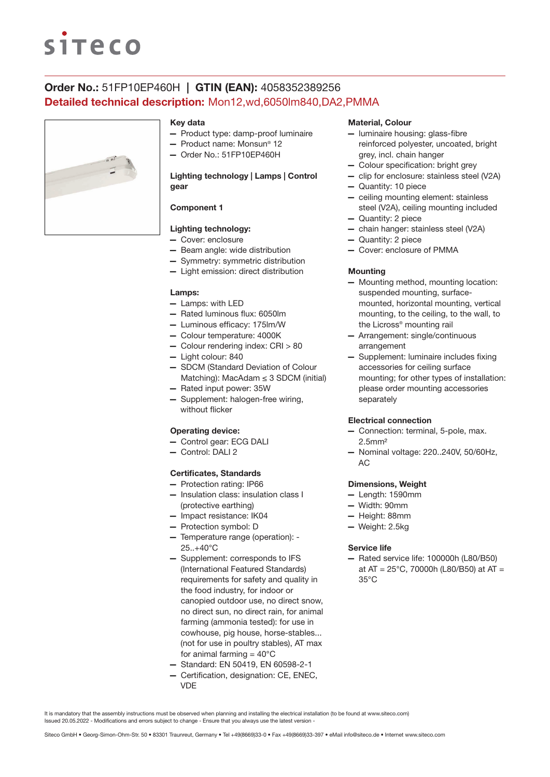# **siteco**

# Order No.: 51FP10EP460H | GTIN (EAN): 4058352389256 Detailed technical description: Mon12,wd,6050lm840,DA2,PMMA



#### Key data

- Product type: damp-proof luminaire
- Product name: Monsun® 12
- Order No.: 51FP10EP460H

## Lighting technology | Lamps | Control gear

## Component 1

## Lighting technology:

- Cover: enclosure
- Beam angle: wide distribution
- Symmetry: symmetric distribution
- Light emission: direct distribution

#### Lamps:

- Lamps: with LED
- Rated luminous flux: 6050lm
- Luminous efficacy: 175lm/W
- Colour temperature: 4000K
- Colour rendering index: CRI > 80
- Light colour: 840
- SDCM (Standard Deviation of Colour Matching): MacAdam  $\leq$  3 SDCM (initial)
- Rated input power: 35W
- Supplement: halogen-free wiring, without flicker

### Operating device:

- Control gear: ECG DALI
- Control: DALI 2

#### Certificates, Standards

- Protection rating: IP66
- Insulation class: insulation class I (protective earthing)
- Impact resistance: IK04
- Protection symbol: D
- Temperature range (operation): 25..+40°C
- Supplement: corresponds to IFS (International Featured Standards) requirements for safety and quality in the food industry, for indoor or canopied outdoor use, no direct snow, no direct sun, no direct rain, for animal farming (ammonia tested): for use in cowhouse, pig house, horse-stables... (not for use in poultry stables), AT max for animal farming  $= 40^{\circ}$ C
- Standard: EN 50419, EN 60598-2-1
- Certification, designation: CE, ENEC, VDE

#### Material, Colour

- luminaire housing: glass-fibre reinforced polyester, uncoated, bright grey, incl. chain hanger
- Colour specification: bright grey
- clip for enclosure: stainless steel (V2A)
- Quantity: 10 piece
- ceiling mounting element: stainless steel (V2A), ceiling mounting included
- Quantity: 2 piece
- chain hanger: stainless steel (V2A)
- Quantity: 2 piece
- Cover: enclosure of PMMA

#### **Mounting**

- Mounting method, mounting location: suspended mounting, surfacemounted, horizontal mounting, vertical mounting, to the ceiling, to the wall, to the Licross® mounting rail
- Arrangement: single/continuous arrangement
- Supplement: luminaire includes fixing accessories for ceiling surface mounting; for other types of installation: please order mounting accessories separately

#### Electrical connection

- Connection: terminal, 5-pole, max. 2.5mm²
- Nominal voltage: 220..240V, 50/60Hz, AC

#### Dimensions, Weight

- Length: 1590mm
- Width: 90mm
- Height: 88mm
- Weight: 2.5kg

#### Service life

— Rated service life: 100000h (L80/B50) at AT = 25°C, 70000h (L80/B50) at AT = 35°C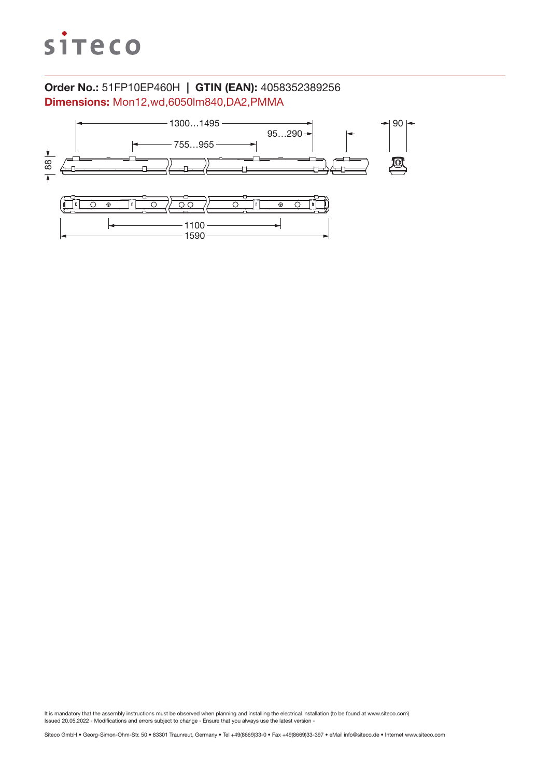

# Order No.: 51FP10EP460H | GTIN (EAN): 4058352389256 Dimensions: Mon12,wd,6050lm840,DA2,PMMA